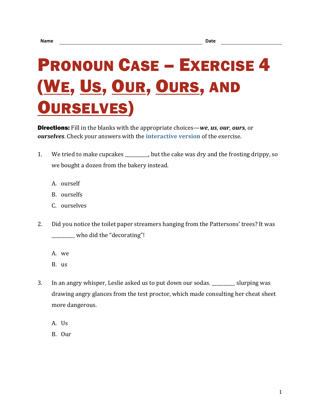## PRONOUN CASE – EXERCISE 4 (WE, US, OUR, OURS, AND OURSELVES)

Directions: Fill in the blanks with the appropriate choices—*we*, *us*, *our*, *ours*, or *ourselves*. Check your answers with the **[interactive version](https://chompchomp.com/hotpotatoes/procase04.htm)** of the exercise.

- 1. We tried to make cupcakes \_\_\_\_\_\_\_, but the cake was dry and the frosting drippy, so we bought a dozen from the bakery instead.
	- A. ourself
	- B. ourselfs
	- C. ourselves
- 2. Did you notice the toilet paper streamers hanging from the Pattersons' trees? It was \_\_\_\_\_\_\_\_\_\_ who did the "decorating"!
	- A. we
	- B. us
- 3. In an angry whisper, Leslie asked us to put down our sodas. \_\_\_\_\_\_\_\_\_\_ slurping was drawing angry glances from the test proctor, which made consulting her cheat sheet more dangerous.
	- A. Us
	- B. Our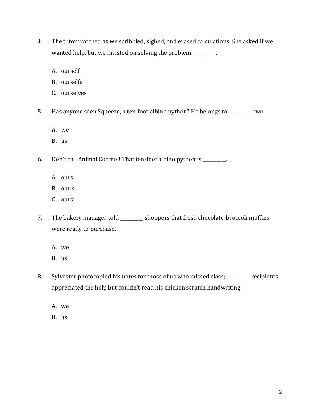- 4. The tutor watched as we scribbled, sighed, and erased calculations. She asked if we wanted help, but we insisted on solving the problem \_\_\_\_\_\_\_\_.
	- A. ourself
	- B. ourselfs
	- C. ourselves
- 5. Has anyone seen Squeeze, a ten-foot albino python? He belongs to \_\_\_\_\_\_\_\_\_\_ two.
	- A. we
	- B. us

6. Don't call Animal Control! That ten-foot albino python is \_\_\_\_\_\_\_\_\_\_.

- A. ours
- B. our's
- C. ours'
- 7. The bakery manager told \_\_\_\_\_\_\_\_ shoppers that fresh chocolate-broccoli muffins were ready to purchase.
	- A. we
	- B. us
- 8. Sylvester photocopied his notes for those of us who missed class; \_\_\_\_\_\_\_\_\_\_ recipients appreciated the help but couldn't read his chicken scratch handwriting.
	- A. we
	- B. us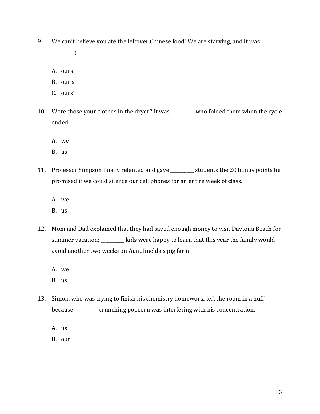9. We can't believe you ate the leftover Chinese food! We are starving, and it was

\_\_\_\_\_\_\_\_\_\_!

- A. ours
- B. our's
- C. ours'
- 10. Were those your clothes in the dryer? It was \_\_\_\_\_\_\_\_\_\_ who folded them when the cycle ended.
	- A. we
	- B. us
- 11. Professor Simpson finally relented and gave \_\_\_\_\_\_\_\_\_\_ students the 20 bonus points he promised if we could silence our cell phones for an entire week of class.
	- A. we
	- B. us
- 12. Mom and Dad explained that they had saved enough money to visit Daytona Beach for summer vacation; \_\_\_\_\_\_\_\_\_ kids were happy to learn that this year the family would avoid another two weeks on Aunt Imelda's pig farm.
	- A. we
	- B. us
- 13. Simon, who was trying to finish his chemistry homework, left the room in a huff because \_\_\_\_\_\_\_\_\_\_ crunching popcorn was interfering with his concentration.
	- A. us

B. our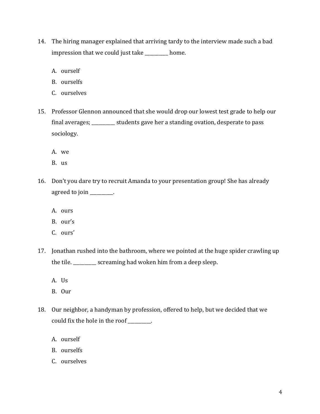- 14. The hiring manager explained that arriving tardy to the interview made such a bad impression that we could just take \_\_\_\_\_\_\_\_\_\_ home.
	- A. ourself
	- B. ourselfs
	- C. ourselves
- 15. Professor Glennon announced that she would drop our lowest test grade to help our final averages; \_\_\_\_\_\_\_\_\_\_ students gave her a standing ovation, desperate to pass sociology.
	- A. we
	- B. us
- 16. Don't you dare try to recruit Amanda to your presentation group! She has already agreed to join \_\_\_\_\_\_\_\_.
	- A. ours
	- B. our's
	- C. ours'
- 17. Jonathan rushed into the bathroom, where we pointed at the huge spider crawling up the tile. \_\_\_\_\_\_\_\_\_\_ screaming had woken him from a deep sleep.
	- A. Us
	- B. Our
- 18. Our neighbor, a handyman by profession, offered to help, but we decided that we could fix the hole in the roof \_\_\_\_\_\_\_\_\_\_.
	- A. ourself
	- B. ourselfs
	- C. ourselves